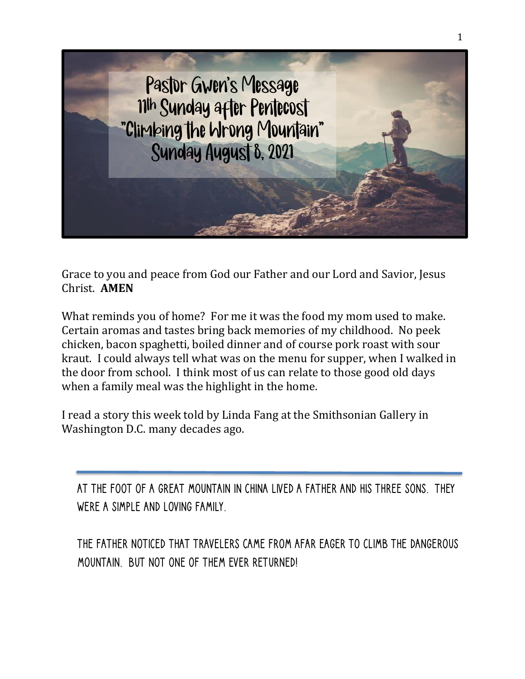

Grace to you and peace from God our Father and our Lord and Savior, Jesus Christ. **AMEN**

What reminds you of home? For me it was the food my mom used to make. Certain aromas and tastes bring back memories of my childhood. No peek chicken, bacon spaghetti, boiled dinner and of course pork roast with sour kraut. I could always tell what was on the menu for supper, when I walked in the door from school. I think most of us can relate to those good old days when a family meal was the highlight in the home.

I read a story this week told by Linda Fang at the Smithsonian Gallery in Washington D.C. many decades ago.

At the foot of a great mountain in China lived a father and his three sons. They were a simple and loving family.

The father noticed that travelers came from afar eager to climb the dangerous mountain. But not one of them ever returned!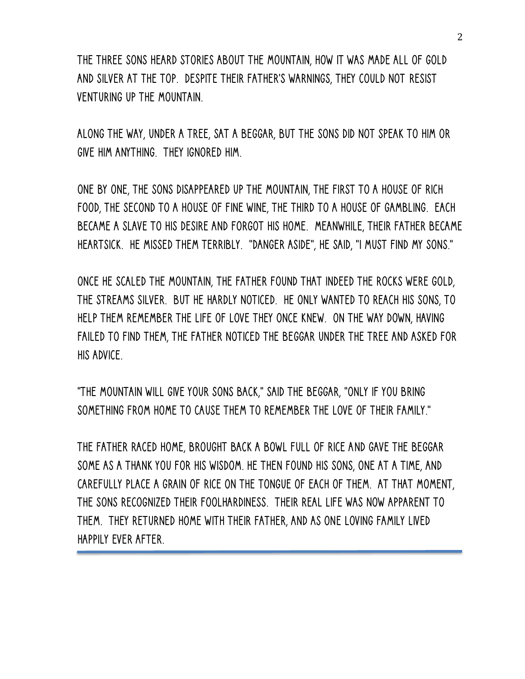The three sons heard stories about the mountain, how it was made all of gold and silver at the top. Despite their father's warnings, they could not resist venturing up the mountain.

Along the way, under a tree, sat a beggar, but the sons did not speak to him or give him anything. They ignored him.

One by one, the sons disappeared up the mountain, the first to a house of rich food, the second to a house of fine wine, the third to a house of gambling. Each became a slave to his desire and forgot his home. Meanwhile, their father became heartsick. He missed them terribly. "Danger aside", he said, "I must find my sons."

Once he scaled the mountain, the father found that indeed the rocks were gold, the streams silver. But he hardly noticed. He only wanted to reach his sons, to help them remember the life of love they once knew. On the way down, having failed to find them, the father noticed the beggar under the tree and asked for his advice.

"The mountain will give your sons back," said the beggar, "only if you bring something from home to cause them to remember the love of their family."

The father raced home, brought back a bowl full of rice and gave the beggar some as a thank you for his wisdom. He then found his sons, one at a time, and carefully place a grain of rice on the tongue of each of them. At that moment, the sons recognized their foolhardiness. Their real life was now apparent to them. They returned home with their father, and as one loving family lived happily ever after.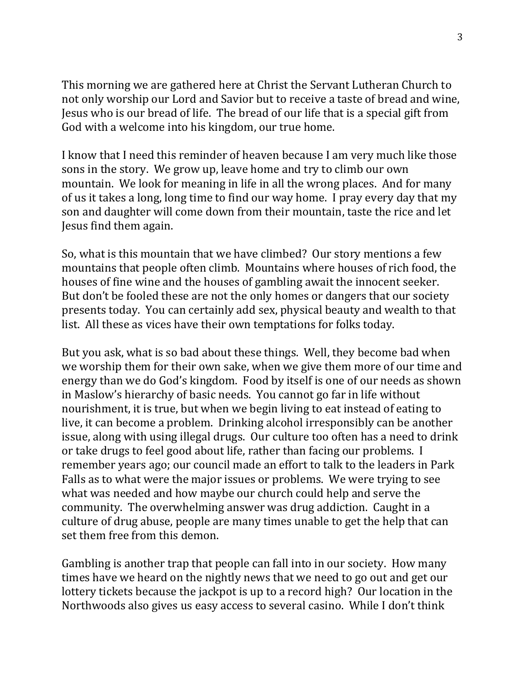This morning we are gathered here at Christ the Servant Lutheran Church to not only worship our Lord and Savior but to receive a taste of bread and wine, Jesus who is our bread of life. The bread of our life that is a special gift from God with a welcome into his kingdom, our true home.

I know that I need this reminder of heaven because I am very much like those sons in the story. We grow up, leave home and try to climb our own mountain. We look for meaning in life in all the wrong places. And for many of us it takes a long, long time to find our way home. I pray every day that my son and daughter will come down from their mountain, taste the rice and let Jesus find them again.

So, what is this mountain that we have climbed? Our story mentions a few mountains that people often climb. Mountains where houses of rich food, the houses of fine wine and the houses of gambling await the innocent seeker. But don't be fooled these are not the only homes or dangers that our society presents today. You can certainly add sex, physical beauty and wealth to that list. All these as vices have their own temptations for folks today.

But you ask, what is so bad about these things. Well, they become bad when we worship them for their own sake, when we give them more of our time and energy than we do God's kingdom. Food by itself is one of our needs as shown in Maslow's hierarchy of basic needs. You cannot go far in life without nourishment, it is true, but when we begin living to eat instead of eating to live, it can become a problem. Drinking alcohol irresponsibly can be another issue, along with using illegal drugs. Our culture too often has a need to drink or take drugs to feel good about life, rather than facing our problems. I remember years ago; our council made an effort to talk to the leaders in Park Falls as to what were the major issues or problems. We were trying to see what was needed and how maybe our church could help and serve the community. The overwhelming answer was drug addiction. Caught in a culture of drug abuse, people are many times unable to get the help that can set them free from this demon.

Gambling is another trap that people can fall into in our society. How many times have we heard on the nightly news that we need to go out and get our lottery tickets because the jackpot is up to a record high? Our location in the Northwoods also gives us easy access to several casino. While I don't think